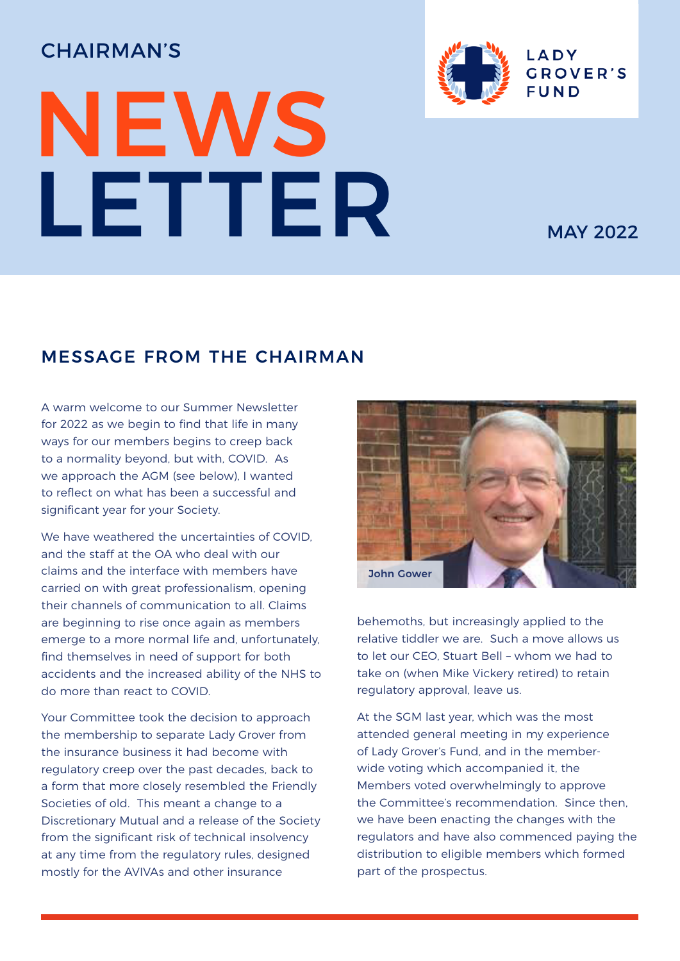# CHAIRMAN'S

# NEWS LETTER MAY 2022



# MESSAGE FROM THE CHAIRMAN

A warm welcome to our Summer Newsletter for 2022 as we begin to find that life in many ways for our members begins to creep back to a normality beyond, but with, COVID. As we approach the AGM (see below), I wanted to reflect on what has been a successful and significant year for your Society.

We have weathered the uncertainties of COVID and the staff at the OA who deal with our claims and the interface with members have carried on with great professionalism, opening their channels of communication to all. Claims are beginning to rise once again as members emerge to a more normal life and, unfortunately, find themselves in need of support for both accidents and the increased ability of the NHS to do more than react to COVID.

Your Committee took the decision to approach the membership to separate Lady Grover from the insurance business it had become with regulatory creep over the past decades, back to a form that more closely resembled the Friendly Societies of old. This meant a change to a Discretionary Mutual and a release of the Society from the significant risk of technical insolvency at any time from the regulatory rules, designed mostly for the AVIVAs and other insurance



behemoths, but increasingly applied to the relative tiddler we are. Such a move allows us to let our CEO, Stuart Bell – whom we had to take on (when Mike Vickery retired) to retain regulatory approval, leave us.

At the SGM last year, which was the most attended general meeting in my experience of Lady Grover's Fund, and in the memberwide voting which accompanied it, the Members voted overwhelmingly to approve the Committee's recommendation. Since then, we have been enacting the changes with the regulators and have also commenced paying the distribution to eligible members which formed part of the prospectus.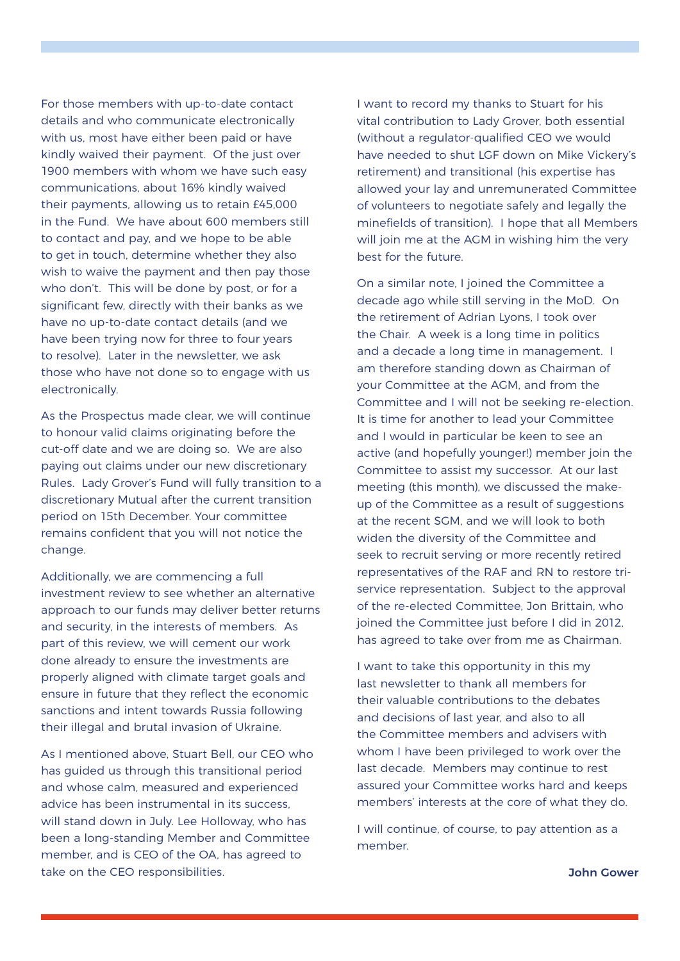For those members with up-to-date contact details and who communicate electronically with us, most have either been paid or have kindly waived their payment. Of the just over 1900 members with whom we have such easy communications, about 16% kindly waived their payments, allowing us to retain £45,000 in the Fund. We have about 600 members still to contact and pay, and we hope to be able to get in touch, determine whether they also wish to waive the payment and then pay those who don't. This will be done by post, or for a significant few, directly with their banks as we have no up-to-date contact details (and we have been trying now for three to four years to resolve). Later in the newsletter, we ask those who have not done so to engage with us electronically.

As the Prospectus made clear, we will continue to honour valid claims originating before the cut-off date and we are doing so. We are also paying out claims under our new discretionary Rules. Lady Grover's Fund will fully transition to a discretionary Mutual after the current transition period on 15th December. Your committee remains confident that you will not notice the change.

Additionally, we are commencing a full investment review to see whether an alternative approach to our funds may deliver better returns and security, in the interests of members. As part of this review, we will cement our work done already to ensure the investments are properly aligned with climate target goals and ensure in future that they reflect the economic sanctions and intent towards Russia following their illegal and brutal invasion of Ukraine.

As I mentioned above, Stuart Bell, our CEO who has guided us through this transitional period and whose calm, measured and experienced advice has been instrumental in its success, will stand down in July. Lee Holloway, who has been a long-standing Member and Committee member, and is CEO of the OA, has agreed to take on the CEO responsibilities.

I want to record my thanks to Stuart for his vital contribution to Lady Grover, both essential (without a regulator-qualified CEO we would have needed to shut LGF down on Mike Vickery's retirement) and transitional (his expertise has allowed your lay and unremunerated Committee of volunteers to negotiate safely and legally the minefields of transition). I hope that all Members will join me at the AGM in wishing him the very best for the future.

On a similar note, I joined the Committee a decade ago while still serving in the MoD. On the retirement of Adrian Lyons, I took over the Chair. A week is a long time in politics and a decade a long time in management. I am therefore standing down as Chairman of your Committee at the AGM, and from the Committee and I will not be seeking re-election. It is time for another to lead your Committee and I would in particular be keen to see an active (and hopefully younger!) member join the Committee to assist my successor. At our last meeting (this month), we discussed the makeup of the Committee as a result of suggestions at the recent SGM, and we will look to both widen the diversity of the Committee and seek to recruit serving or more recently retired representatives of the RAF and RN to restore triservice representation. Subject to the approval of the re-elected Committee, Jon Brittain, who joined the Committee just before I did in 2012, has agreed to take over from me as Chairman.

I want to take this opportunity in this my last newsletter to thank all members for their valuable contributions to the debates and decisions of last year, and also to all the Committee members and advisers with whom I have been privileged to work over the last decade. Members may continue to rest assured your Committee works hard and keeps members' interests at the core of what they do.

I will continue, of course, to pay attention as a member.

John Gower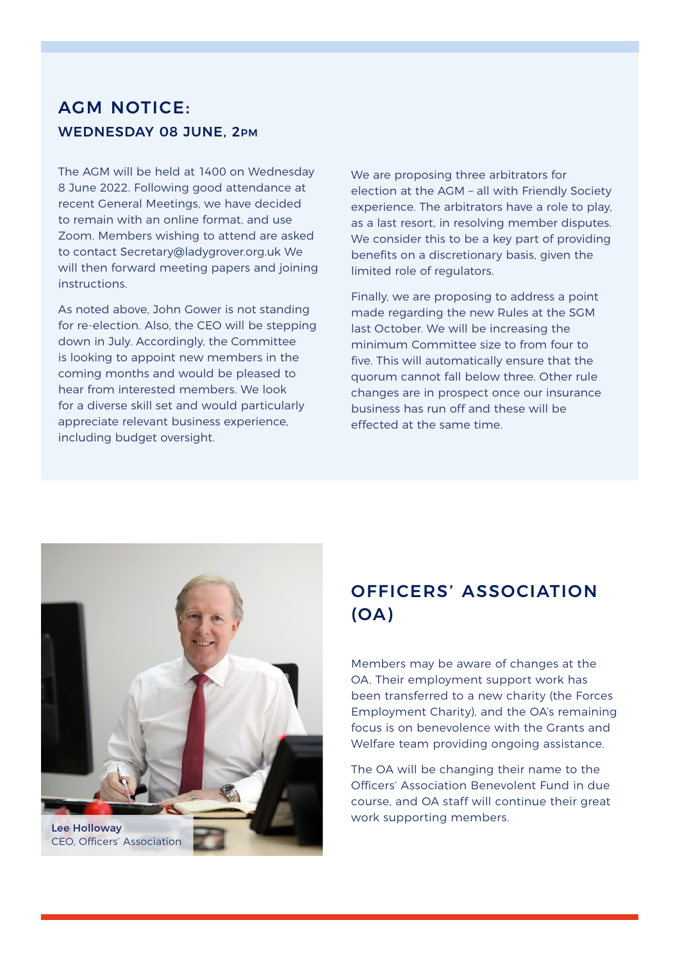#### AGM NOTICE: WEDNESDAY 08 JUNE, 2PM

The AGM will be held at 1400 on Wednesday 8 June 2022. Following good attendance at recent General Meetings, we have decided to remain with an online format, and use Zoom. Members wishing to attend are asked to contact Secretary@ladygrover.org.uk We will then forward meeting papers and joining instructions.

As noted above, John Gower is not standing for re-election. Also, the CEO will be stepping down in July. Accordingly, the Committee is looking to appoint new members in the coming months and would be pleased to hear from interested members. We look for a diverse skill set and would particularly appreciate relevant business experience, including budget oversight.

We are proposing three arbitrators for election at the AGM – all with Friendly Society experience. The arbitrators have a role to play, as a last resort, in resolving member disputes. We consider this to be a key part of providing benefits on a discretionary basis, given the limited role of regulators.

Finally, we are proposing to address a point made regarding the new Rules at the SGM last October. We will be increasing the minimum Committee size to from four to five. This will automatically ensure that the quorum cannot fall below three. Other rule changes are in prospect once our insurance business has run off and these will be effected at the same time.



## OFFICERS' ASSOCIATION (OA)

Members may be aware of changes at the OA. Their employment support work has been transferred to a new charity (the Forces Employment Charity), and the OA's remaining focus is on benevolence with the Grants and Welfare team providing ongoing assistance.

The OA will be changing their name to the Officers' Association Benevolent Fund in due course, and OA staff will continue their great work supporting members.